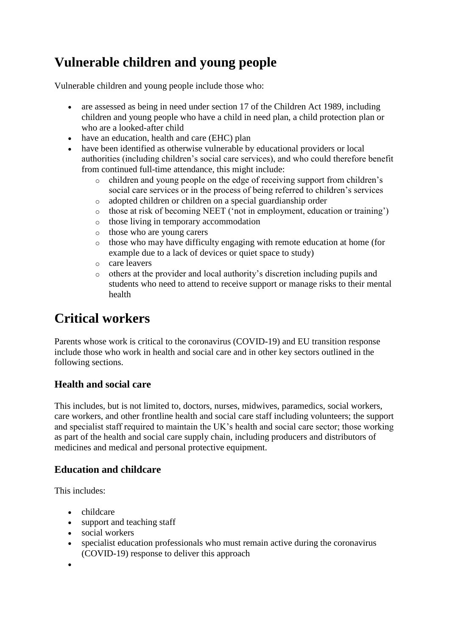# **Vulnerable children and young people**

Vulnerable children and young people include those who:

- are assessed as being in need under section 17 of the Children Act 1989, including children and young people who have a child in need plan, a child protection plan or who are a looked-after child
- have an education, health and care (EHC) plan
- have been identified as otherwise vulnerable by educational providers or local authorities (including children's social care services), and who could therefore benefit from continued full-time attendance, this might include:
	- o children and young people on the edge of receiving support from children's social care services or in the process of being referred to children's services
	- o adopted children or children on a special guardianship order
	- o those at risk of becoming NEET ('not in employment, education or training')
	- o those living in temporary accommodation
	- o those who are young carers
	- o those who may have difficulty engaging with remote education at home (for example due to a lack of devices or quiet space to study)
	- o care leavers
	- o others at the provider and local authority's discretion including pupils and students who need to attend to receive support or manage risks to their mental health

## **Critical workers**

Parents whose work is critical to the coronavirus (COVID-19) and EU transition response include those who work in health and social care and in other key sectors outlined in the following sections.

#### **Health and social care**

This includes, but is not limited to, doctors, nurses, midwives, paramedics, social workers, care workers, and other frontline health and social care staff including volunteers; the support and specialist staff required to maintain the UK's health and social care sector; those working as part of the health and social care supply chain, including producers and distributors of medicines and medical and personal protective equipment.

#### **Education and childcare**

This includes:

- childcare
- support and teaching staff
- social workers
- specialist education professionals who must remain active during the coronavirus (COVID-19) response to deliver this approach
- $\bullet$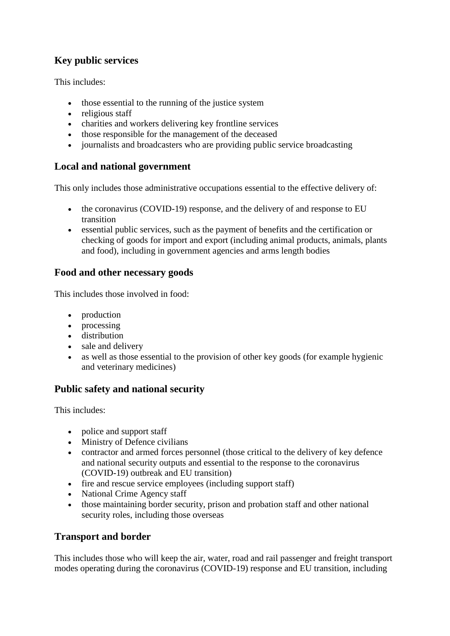## **Key public services**

This includes:

- those essential to the running of the justice system
- religious staff
- charities and workers delivering key frontline services
- those responsible for the management of the deceased
- journalists and broadcasters who are providing public service broadcasting

### **Local and national government**

This only includes those administrative occupations essential to the effective delivery of:

- the coronavirus (COVID-19) response, and the delivery of and response to EU transition
- essential public services, such as the payment of benefits and the certification or checking of goods for import and export (including animal products, animals, plants and food), including in government agencies and arms length bodies

### **Food and other necessary goods**

This includes those involved in food:

- production
- processing
- distribution
- sale and delivery
- as well as those essential to the provision of other key goods (for example hygienic and veterinary medicines)

## **Public safety and national security**

This includes:

- police and support staff
- Ministry of Defence civilians
- contractor and armed forces personnel (those critical to the delivery of key defence and national security outputs and essential to the response to the coronavirus (COVID-19) outbreak and EU transition)
- fire and rescue service employees (including support staff)
- National Crime Agency staff
- those maintaining border security, prison and probation staff and other national security roles, including those overseas

#### **Transport and border**

This includes those who will keep the air, water, road and rail passenger and freight transport modes operating during the coronavirus (COVID-19) response and EU transition, including